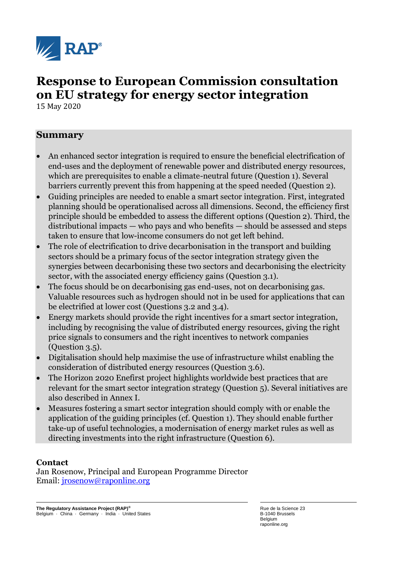

# **Response to European Commission consultation on EU strategy for energy sector integration**

15 May 2020

## **Summary**

- An enhanced sector integration is required to ensure the beneficial electrification of end-uses and the deployment of renewable power and distributed energy resources, which are prerequisites to enable a climate-neutral future (Question 1). Several barriers currently prevent this from happening at the speed needed (Question 2).
- Guiding principles are needed to enable a smart sector integration. First, integrated planning should be operationalised across all dimensions. Second, the efficiency first principle should be embedded to assess the different options (Question 2). Third, the distributional impacts — who pays and who benefits — should be assessed and steps taken to ensure that low-income consumers do not get left behind.
- The role of electrification to drive decarbonisation in the transport and building sectors should be a primary focus of the sector integration strategy given the synergies between decarbonising these two sectors and decarbonising the electricity sector, with the associated energy efficiency gains (Question 3.1).
- The focus should be on decarbonising gas end-uses, not on decarbonising gas. Valuable resources such as hydrogen should not in be used for applications that can be electrified at lower cost (Questions 3.2 and 3.4).
- Energy markets should provide the right incentives for a smart sector integration, including by recognising the value of distributed energy resources, giving the right price signals to consumers and the right incentives to network companies (Question 3.5).
- Digitalisation should help maximise the use of infrastructure whilst enabling the consideration of distributed energy resources (Question 3.6).
- The Horizon 2020 Enefirst project highlights worldwide best practices that are relevant for the smart sector integration strategy (Question 5). Several initiatives are also described in Annex I.
- Measures fostering a smart sector integration should comply with or enable the application of the guiding principles (cf. Question 1). They should enable further take-up of useful technologies, a modernisation of energy market rules as well as directing investments into the right infrastructure (Question 6).

#### **Contact**

Jan Rosenow, Principal and European Programme Director Email: [jrosenow@raponline.org](mailto:jrosenow@raponline.org)

**The Regulatory Assistance Project (RAP)®** Belgium · China · Germany · India · United States Rue de la Science 23 B-1040 Brussels Belgium raponline.org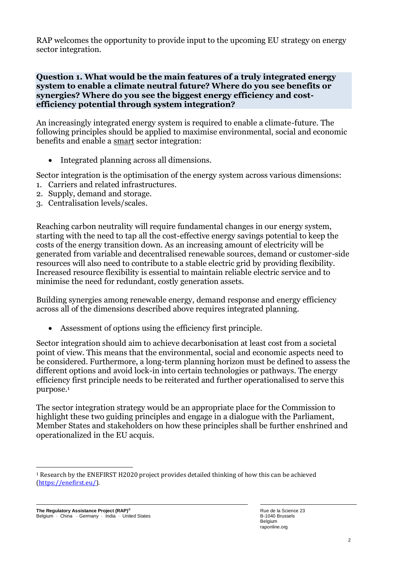RAP welcomes the opportunity to provide input to the upcoming EU strategy on energy sector integration.

#### **Question 1. What would be the main features of a truly integrated energy system to enable a climate neutral future? Where do you see benefits or synergies? Where do you see the biggest energy efficiency and costefficiency potential through system integration?**

An increasingly integrated energy system is required to enable a climate-future. The following principles should be applied to maximise environmental, social and economic benefits and enable a smart sector integration:

• Integrated planning across all dimensions.

Sector integration is the optimisation of the energy system across various dimensions: 1. Carriers and related infrastructures.

- 2. Supply, demand and storage.
- 3. Centralisation levels/scales.

Reaching carbon neutrality will require fundamental changes in our energy system, starting with the need to tap all the cost-effective energy savings potential to keep the costs of the energy transition down. As an increasing amount of electricity will be generated from variable and decentralised renewable sources, demand or customer-side resources will also need to contribute to a stable electric grid by providing flexibility. Increased resource flexibility is essential to maintain reliable electric service and to minimise the need for redundant, costly generation assets.

Building synergies among renewable energy, demand response and energy efficiency across all of the dimensions described above requires integrated planning.

• Assessment of options using the efficiency first principle.

Sector integration should aim to achieve decarbonisation at least cost from a societal point of view. This means that the environmental, social and economic aspects need to be considered. Furthermore, a long-term planning horizon must be defined to assess the different options and avoid lock-in into certain technologies or pathways. The energy efficiency first principle needs to be reiterated and further operationalised to serve this purpose.<sup>1</sup>

The sector integration strategy would be an appropriate place for the Commission to highlight these two guiding principles and engage in a dialogue with the Parliament, Member States and stakeholders on how these principles shall be further enshrined and operationalized in the EU acquis.

<sup>1</sup> Research by the ENEFIRST H2020 project provides detailed thinking of how this can be achieved [\(https://enefirst.eu/\)](https://enefirst.eu/).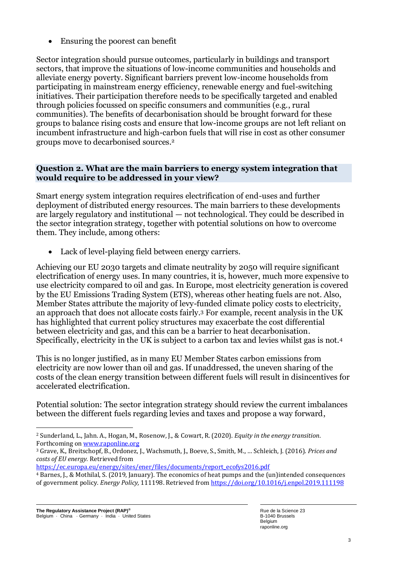• Ensuring the poorest can benefit

Sector integration should pursue outcomes, particularly in buildings and transport sectors, that improve the situations of low-income communities and households and alleviate energy poverty. Significant barriers prevent low-income households from participating in mainstream energy efficiency, renewable energy and fuel-switching initiatives. Their participation therefore needs to be specifically targeted and enabled through policies focussed on specific consumers and communities (e.g., rural communities). The benefits of decarbonisation should be brought forward for these groups to balance rising costs and ensure that low-income groups are not left reliant on incumbent infrastructure and high-carbon fuels that will rise in cost as other consumer groups move to decarbonised sources.<sup>2</sup>

#### **Question 2. What are the main barriers to energy system integration that would require to be addressed in your view?**

Smart energy system integration requires electrification of end-uses and further deployment of distributed energy resources. The main barriers to these developments are largely regulatory and institutional — not technological. They could be described in the sector integration strategy, together with potential solutions on how to overcome them. They include, among others:

• Lack of level-playing field between energy carriers.

Achieving our EU 2030 targets and climate neutrality by 2050 will require significant electrification of energy uses. In many countries, it is, however, much more expensive to use electricity compared to oil and gas. In Europe, most electricity generation is covered by the EU Emissions Trading System (ETS), whereas other heating fuels are not. Also, Member States attribute the majority of levy-funded climate policy costs to electricity, an approach that does not allocate costs fairly.<sup>3</sup> For example, recent analysis in the UK has highlighted that current policy structures may exacerbate the cost differential between electricity and gas, and this can be a barrier to heat decarbonisation. Specifically, electricity in the UK is subject to a carbon tax and levies whilst gas is not.<sup>4</sup>

This is no longer justified, as in many EU Member States carbon emissions from electricity are now lower than oil and gas. If unaddressed, the uneven sharing of the costs of the clean energy transition between different fuels will result in disincentives for accelerated electrification.

Potential solution: The sector integration strategy should review the current imbalances between the different fuels regarding levies and taxes and propose a way forward,

<sup>2</sup> Sunderland, L., Jahn. A., Hogan, M., Rosenow, J., & Cowart, R. (2020). *Equity in the energy transition*. Forthcoming o[n www.raponline.org](http://www.raponline.org/)

<sup>3</sup> Grave, K., Breitschopf, B., Ordonez, J., Wachsmuth, J., Boeve, S., Smith, M., … Schleich, J. (2016). *Prices and costs of EU energy.* Retrieved from

[https://ec.europa.eu/energy/sites/ener/files/documents/report\\_ecofys2016.pdf](https://ec.europa.eu/energy/sites/ener/files/documents/report_ecofys2016.pdf) 

<sup>4</sup> Barnes, J., & Mothilal, S. (2019, January). The economics of heat pumps and the (un)intended consequences of government policy*. Energy Policy,* 111198. Retrieved from<https://doi.org/10.1016/j.enpol.2019.111198>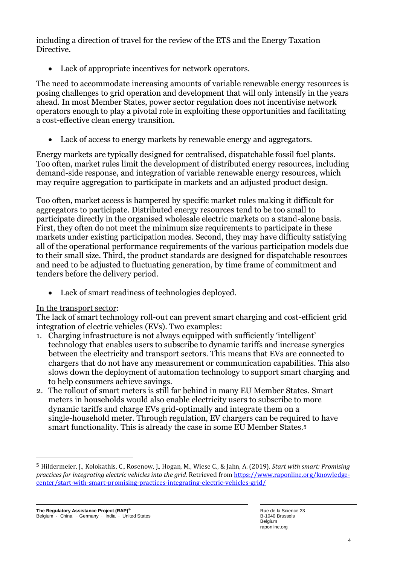including a direction of travel for the review of the ETS and the Energy Taxation Directive.

Lack of appropriate incentives for network operators.

The need to accommodate increasing amounts of variable renewable energy resources is posing challenges to grid operation and development that will only intensify in the years ahead. In most Member States, power sector regulation does not incentivise network operators enough to play a pivotal role in exploiting these opportunities and facilitating a cost-effective clean energy transition.

• Lack of access to energy markets by renewable energy and aggregators.

Energy markets are typically designed for centralised, dispatchable fossil fuel plants. Too often, market rules limit the development of distributed energy resources, including demand-side response, and integration of variable renewable energy resources, which may require aggregation to participate in markets and an adjusted product design.

Too often, market access is hampered by specific market rules making it difficult for aggregators to participate. Distributed energy resources tend to be too small to participate directly in the organised wholesale electric markets on a stand-alone basis. First, they often do not meet the minimum size requirements to participate in these markets under existing participation modes. Second, they may have difficulty satisfying all of the operational performance requirements of the various participation models due to their small size. Third, the product standards are designed for dispatchable resources and need to be adjusted to fluctuating generation, by time frame of commitment and tenders before the delivery period.

• Lack of smart readiness of technologies deployed.

## In the transport sector:

The lack of smart technology roll-out can prevent smart charging and cost-efficient grid integration of electric vehicles (EVs). Two examples:

- 1. Charging infrastructure is not always equipped with sufficiently 'intelligent' technology that enables users to subscribe to dynamic tariffs and increase synergies between the electricity and transport sectors. This means that EVs are connected to chargers that do not have any measurement or communication capabilities. This also slows down the deployment of automation technology to support smart charging and to help consumers achieve savings.
- 2. The rollout of smart meters is still far behind in many EU Member States. Smart meters in households would also enable electricity users to subscribe to more dynamic tariffs and charge EVs grid-optimally and integrate them on a single-household meter. Through regulation, EV chargers can be required to have smart functionality. This is already the case in some EU Member States.<sup>5</sup>

<sup>5</sup> Hildermeier, J., Kolokathis, C., Rosenow, J., Hogan, M., Wiese C., & Jahn, A. (2019). *Start with smart: Promising practices for integrating electric vehicles into the grid.* Retrieved fro[m https://www.raponline.org/knowledge](https://www.raponline.org/knowledge-center/start-with-smart-promising-practices-integrating-electric-vehicles-grid/)[center/start-with-smart-promising-practices-integrating-electric-vehicles-grid/](https://www.raponline.org/knowledge-center/start-with-smart-promising-practices-integrating-electric-vehicles-grid/)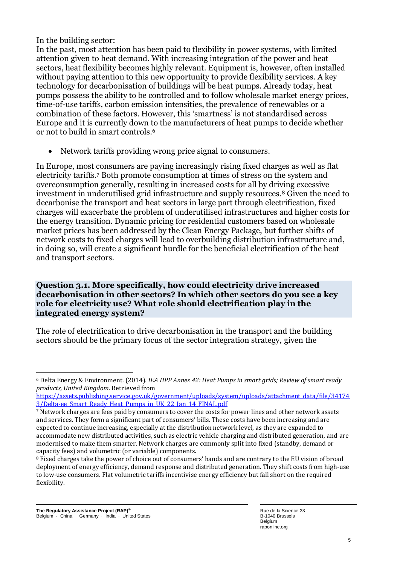In the building sector:

In the past, most attention has been paid to flexibility in power systems, with limited attention given to heat demand. With increasing integration of the power and heat sectors, heat flexibility becomes highly relevant. Equipment is, however, often installed without paying attention to this new opportunity to provide flexibility services. A key technology for decarbonisation of buildings will be heat pumps. Already today, heat pumps possess the ability to be controlled and to follow wholesale market energy prices, time-of-use tariffs, carbon emission intensities, the prevalence of renewables or a combination of these factors. However, this 'smartness' is not standardised across Europe and it is currently down to the manufacturers of heat pumps to decide whether or not to build in smart controls.<sup>6</sup>

• Network tariffs providing wrong price signal to consumers.

In Europe, most consumers are paying increasingly rising fixed charges as well as flat electricity tariffs.<sup>7</sup> Both promote consumption at times of stress on the system and overconsumption generally, resulting in increased costs for all by driving excessive investment in underutilised grid infrastructure and supply resources.<sup>8</sup> Given the need to decarbonise the transport and heat sectors in large part through electrification, fixed charges will exacerbate the problem of underutilised infrastructures and higher costs for the energy transition. Dynamic pricing for residential customers based on wholesale market prices has been addressed by the Clean Energy Package, but further shifts of network costs to fixed charges will lead to overbuilding distribution infrastructure and, in doing so, will create a significant hurdle for the beneficial electrification of the heat and transport sectors.

#### **Question 3.1. More specifically, how could electricity drive increased decarbonisation in other sectors? In which other sectors do you see a key role for electricity use? What role should electrification play in the integrated energy system?**

The role of electrification to drive decarbonisation in the transport and the building sectors should be the primary focus of the sector integration strategy, given the

<sup>6</sup> Delta Energy & Environment. (2014). *IEA HPP Annex 42: Heat Pumps in smart grids; Review of smart ready products, United Kingdom*. Retrieved from

[https://assets.publishing.service.gov.uk/government/uploads/system/uploads/attachment\\_data/file/34174](https://assets.publishing.service.gov.uk/government/uploads/system/uploads/attachment_data/file/341743/Delta-ee_Smart_Ready_Heat_Pumps_in_UK_22_Jan_14_FINAL.pdf) 3/Delta-ee Smart Ready Heat Pumps in UK 22 Jan 14 FINAL.pdf

<sup>7</sup> Network charges are fees paid by consumers to cover the costs for power lines and other network assets and services. They form a significant part of consumers' bills. These costs have been increasing and are expected to continue increasing, especially at the distribution network level, as they are expanded to accommodate new distributed activities, such as electric vehicle charging and distributed generation, and are modernised to make them smarter. Network charges are commonly split into fixed (standby, demand or capacity fees) and volumetric (or variable) components.

<sup>8</sup> Fixed charges take the power of choice out of consumers' hands and are contrary to the EU vision of broad deployment of energy efficiency, demand response and distributed generation. They shift costs from high-use to low-use consumers. Flat volumetric tariffs incentivise energy efficiency but fall short on the required flexibility.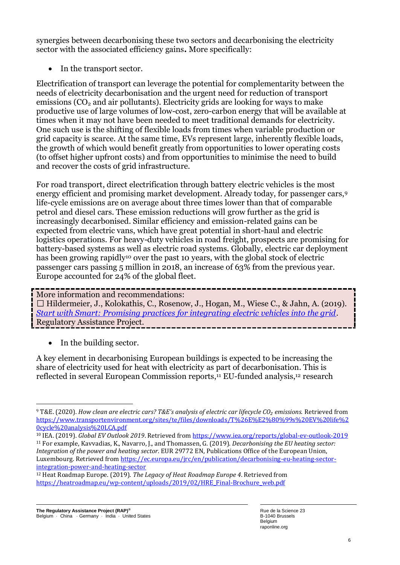synergies between decarbonising these two sectors and decarbonising the electricity sector with the associated efficiency gains**.** More specifically:

• In the transport sector.

Electrification of transport can leverage the potential for complementarity between the needs of electricity decarbonisation and the urgent need for reduction of transport emissions  $(CO<sub>2</sub>$  and air pollutants). Electricity grids are looking for ways to make productive use of large volumes of low-cost, zero-carbon energy that will be available at times when it may not have been needed to meet traditional demands for electricity. One such use is the shifting of flexible loads from times when variable production or grid capacity is scarce. At the same time, EVs represent large, inherently flexible loads, the growth of which would benefit greatly from opportunities to lower operating costs (to offset higher upfront costs) and from opportunities to minimise the need to build and recover the costs of grid infrastructure.

For road transport, direct electrification through battery electric vehicles is the most energy efficient and promising market development. Already today, for passenger cars,<sup>9</sup> life-cycle emissions are on average about three times lower than that of comparable petrol and diesel cars. These emission reductions will grow further as the grid is increasingly decarbonised. Similar efficiency and emission-related gains can be expected from electric vans, which have great potential in short-haul and electric logistics operations. For heavy-duty vehicles in road freight, prospects are promising for battery-based systems as well as electric road systems. Globally, electric car deployment has been growing rapidly<sup>10</sup> over the past 10 years, with the global stock of electric passenger cars passing 5 million in 2018, an increase of 63% from the previous year. Europe accounted for 24% of the global fleet.

More information and recommendations: □ Hildermeier, J., Kolokathis, C., Rosenow, J., Hogan, M., Wiese C., & Jahn, A. (2019). *[Start with Smart: Promising practices for integrating electric vehicles into the grid](https://www.raponline.org/knowledge-center/start-with-smart-promising-practices-integrating-electric-vehicles-grid/)*. Regulatory Assistance Project.

• In the building sector.

A key element in decarbonising European buildings is expected to be increasing the share of electricity used for heat with electricity as part of decarbonisation. This is reflected in several European Commission reports,<sup>11</sup> EU-funded analysis,<sup>12</sup> research

<sup>9</sup> T&E. (2020). *How clean are electric cars? T&E's analysis of electric car lifecycle CO₂ emissions.* Retrieved from [https://www.transportenvironment.org/sites/te/files/downloads/T%26E%E2%80%99s%20EV%20life%2](https://www.transportenvironment.org/sites/te/files/downloads/T%26E%E2%80%99s%20EV%20life%20cycle%20analysis%20LCA.pdf) [0cycle%20analysis%20LCA.pdf](https://www.transportenvironment.org/sites/te/files/downloads/T%26E%E2%80%99s%20EV%20life%20cycle%20analysis%20LCA.pdf)

<sup>10</sup> IEA. (2019). *Global EV Outlook 2019*. Retrieved from<https://www.iea.org/reports/global-ev-outlook-2019> <sup>11</sup> For example, Kavvadias, K., Navarro, J., and Thomassen, G. (2019). *Decarbonising the EU heating sector: Integration of the power and heating sector*. EUR 29772 EN, Publications Office of the European Union, Luxembourg. Retrieved from [https://ec.europa.eu/jrc/en/publication/decarbonising-eu-heating-sector](https://ec.europa.eu/jrc/en/publication/decarbonising-eu-heating-sector-integration-power-and-heating-sector)[integration-power-and-heating-sector](https://ec.europa.eu/jrc/en/publication/decarbonising-eu-heating-sector-integration-power-and-heating-sector) 

<sup>12</sup> Heat Roadmap Europe. (2019). *The Legacy of Heat Roadmap Europe 4*. Retrieved from [https://heatroadmap.eu/wp-content/uploads/2019/02/HRE\\_Final-Brochure\\_web.pdf](https://heatroadmap.eu/wp-content/uploads/2019/02/HRE_Final-Brochure_web.pdf)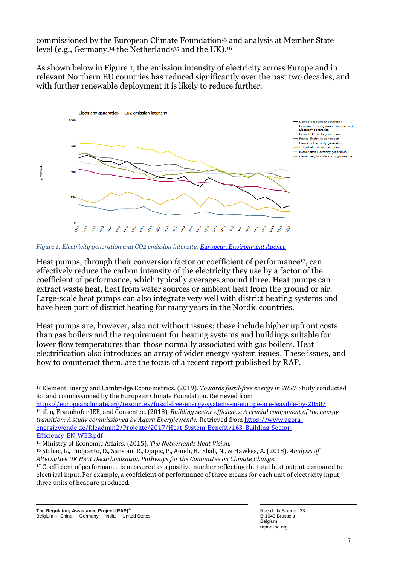commissioned by the European Climate Foundation<sup>13</sup> and analysis at Member State level (e.g., Germany,<sup>14</sup> the Netherlands<sup>15</sup> and the UK).<sup>16</sup>

As shown below in Figure 1, the emission intensity of electricity across Europe and in relevant Northern EU countries has reduced significantly over the past two decades, and with further renewable deployment it is likely to reduce further.



*Figure 1: Electricity generation and CO2 emission intensity[, European Environment Agency](https://www.eea.europa.eu/data-and-maps/daviz/co2-emission-intensity-5)*

Heat pumps, through their conversion factor or coefficient of performance17, can effectively reduce the carbon intensity of the electricity they use by a factor of the coefficient of performance, which typically averages around three. Heat pumps can extract waste heat, heat from water sources or ambient heat from the ground or air. Large-scale heat pumps can also integrate very well with district heating systems and have been part of district heating for many years in the Nordic countries.

Heat pumps are, however, also not without issues: these include higher upfront costs than gas boilers and the requirement for heating systems and buildings suitable for lower flow temperatures than those normally associated with gas boilers. Heat electrification also introduces an array of wider energy system issues. These issues, and how to counteract them, are the focus of a recent report published by RAP.

<https://europeanclimate.org/resources/fossil-free-energy-systems-in-europe-are-feasible-by-2050/> <sup>14</sup> ifeu, Fraunhofer IEE, and Consentec. (2018). *Building sector efficiency: A crucial component of the energy transition; A study commissioned by Agora Energiewende.* Retrieved fro[m https://www.agora](https://www.agora-energiewende.de/fileadmin2/Projekte/2017/Heat_System_Benefit/163_Building-Sector-Efficiency_EN_WEB.pdf)energiewende.de/fileadmin2/Projekte/2017/Heat System\_Benefit/163\_Building-Sector-[Efficiency\\_EN\\_WEB.pdf](https://www.agora-energiewende.de/fileadmin2/Projekte/2017/Heat_System_Benefit/163_Building-Sector-Efficiency_EN_WEB.pdf) 

<sup>13</sup> Element Energy and Cambridge Econometrics. (2019). *Towards fossil-free energy in 2050.* Study conducted for and commissioned by the European Climate Foundation. Retrieved from

<sup>15</sup> Ministry of Economic Affairs. (2015). *The Netherlands Heat Vision.*

<sup>16</sup> Strbac, G., Pudjianto, D., Sansom, R., Djapic, P., Ameli, H., Shah, N., & Hawkes, A. (2018). *Analysis of Alternative UK Heat Decarbonisation Pathways for the Committee on Climate Change.*

<sup>&</sup>lt;sup>17</sup> Coefficient of performance is measured as a positive number reflecting the total heat output compared to electrical input. For example, a coefficient of performance of three means for each unit of electricity input, three units of heat are produced.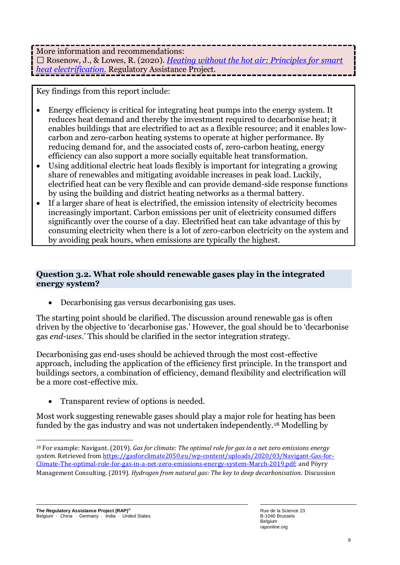More information and recommendations: Rosenow, J., & Lowes, R. (2020). *[Heating without the hot air: Principles for smart](https://www.raponline.org/knowledge-center/heating-without-hot-air-principles-smart-heat-electrification/)  [heat electrification.](https://www.raponline.org/knowledge-center/heating-without-hot-air-principles-smart-heat-electrification/)* Regulatory Assistance Project.

Key findings from this report include:

- Energy efficiency is critical for integrating heat pumps into the energy system. It reduces heat demand and thereby the investment required to decarbonise heat; it enables buildings that are electrified to act as a flexible resource; and it enables lowcarbon and zero-carbon heating systems to operate at higher performance. By reducing demand for, and the associated costs of, zero-carbon heating, energy efficiency can also support a more socially equitable heat transformation.
- Using additional electric heat loads flexibly is important for integrating a growing share of renewables and mitigating avoidable increases in peak load. Luckily, electrified heat can be very flexible and can provide demand-side response functions by using the building and district heating networks as a thermal battery.
- If a larger share of heat is electrified, the emission intensity of electricity becomes increasingly important. Carbon emissions per unit of electricity consumed differs significantly over the course of a day. Electrified heat can take advantage of this by consuming electricity when there is a lot of zero-carbon electricity on the system and by avoiding peak hours, when emissions are typically the highest.

## **Question 3.2. What role should renewable gases play in the integrated energy system?**

• Decarbonising gas versus decarbonising gas uses.

The starting point should be clarified. The discussion around renewable gas is often driven by the objective to 'decarbonise gas.' However, the goal should be to 'decarbonise gas *end-uses*.' This should be clarified in the sector integration strategy.

Decarbonising gas end-uses should be achieved through the most cost-effective approach, including the application of the efficiency first principle. In the transport and buildings sectors, a combination of efficiency, demand flexibility and electrification will be a more cost-effective mix.

• Transparent review of options is needed.

Most work suggesting renewable gases should play a major role for heating has been funded by the gas industry and was not undertaken independently.<sup>18</sup> Modelling by

<sup>18</sup> For example: Navigant. (2019). *Gas for climate: The optimal role for gas in a net zero emissions energy system.* Retrieved fro[m https://gasforclimate2050.eu/wp-content/uploads/2020/03/Navigant-Gas-for-](https://gasforclimate2050.eu/wp-content/uploads/2020/03/Navigant-Gas-for-Climate-The-optimal-role-for-gas-in-a-net-zero-emissions-energy-system-March-2019.pdf)[Climate-The-optimal-role-for-gas-in-a-net-zero-emissions-energy-system-March-2019.pdf;](https://gasforclimate2050.eu/wp-content/uploads/2020/03/Navigant-Gas-for-Climate-The-optimal-role-for-gas-in-a-net-zero-emissions-energy-system-March-2019.pdf) and Pöyry Management Consulting. (2019). *Hydrogen from natural gas: The key to deep decarbonisation.* Discussion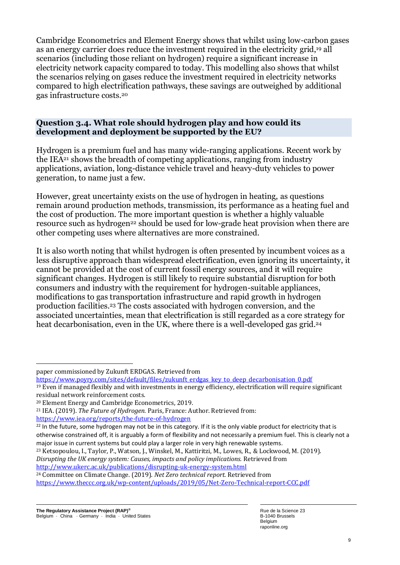Cambridge Econometrics and Element Energy shows that whilst using low-carbon gases as an energy carrier does reduce the investment required in the electricity grid,<sup>19</sup> all scenarios (including those reliant on hydrogen) require a significant increase in electricity network capacity compared to today. This modelling also shows that whilst the scenarios relying on gases reduce the investment required in electricity networks compared to high electrification pathways, these savings are outweighed by additional gas infrastructure costs.<sup>20</sup>

## **Question 3.4. What role should hydrogen play and how could its development and deployment be supported by the EU?**

Hydrogen is a premium fuel and has many wide-ranging applications. Recent work by the IEA<sup>21</sup> shows the breadth of competing applications, ranging from industry applications, aviation, long-distance vehicle travel and heavy-duty vehicles to power generation, to name just a few.

However, great uncertainty exists on the use of hydrogen in heating, as questions remain around production methods, transmission, its performance as a heating fuel and the cost of production. The more important question is whether a highly valuable resource such as hydrogen<sup>22</sup> should be used for low-grade heat provision when there are other competing uses where alternatives are more constrained.

It is also worth noting that whilst hydrogen is often presented by incumbent voices as a less disruptive approach than widespread electrification, even ignoring its uncertainty, it cannot be provided at the cost of current fossil energy sources, and it will require significant changes. Hydrogen is still likely to require substantial disruption for both consumers and industry with the requirement for hydrogen-suitable appliances, modifications to gas transportation infrastructure and rapid growth in hydrogen production facilities.<sup>23</sup> The costs associated with hydrogen conversion, and the associated uncertainties, mean that electrification is still regarded as a core strategy for heat decarbonisation, even in the UK, where there is a well-developed gas grid.<sup>24</sup>

[https://www.poyry.com/sites/default/files/zukunft\\_erdgas\\_key\\_to\\_deep\\_decarbonisation\\_0.pdf](https://www.poyry.com/sites/default/files/zukunft_erdgas_key_to_deep_decarbonisation_0.pdf)

paper commissioned by Zukunft ERDGAS. Retrieved from

<sup>19</sup> Even if managed flexibly and with investments in energy efficiency, electrification will require significant residual network reinforcement costs.

<sup>20</sup> Element Energy and Cambridge Econometrics, 2019.

<sup>21</sup> IEA. (2019). *The Future of Hydrogen.* Paris, France: Author. Retrieved from: <https://www.iea.org/reports/the-future-of-hydrogen>

 $22$  In the future, some hydrogen may not be in this category. If it is the only viable product for electricity that is otherwise constrained off, it is arguably a form of flexibility and not necessarily a premium fuel. This is clearly not a major issue in current systems but could play a larger role in very high renewable systems.

<sup>23</sup> Ketsopoulou, I., Taylor, P., Watson, J., Winskel, M., Kattiritzi, M., Lowes, R., & Lockwood, M. (2019). *Disrupting the UK energy system: Causes, impacts and policy implications.* Retrieved from <http://www.ukerc.ac.uk/publications/disrupting-uk-energy-system.html>

<sup>24</sup> Committee on Climate Change. (2019). *Net Zero technical report.* Retrieved from <https://www.theccc.org.uk/wp-content/uploads/2019/05/Net-Zero-Technical-report-CCC.pdf>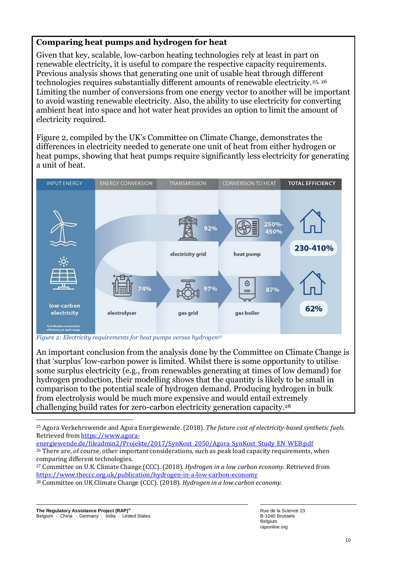## **Comparing heat pumps and hydrogen for heat**

Given that key, scalable, low-carbon heating technologies rely at least in part on renewable electricity, it is useful to compare the respective capacity requirements. Previous analysis shows that generating one unit of usable heat through different technologies requires substantially different amounts of renewable electricity.25, 26 Limiting the number of conversions from one energy vector to another will be important to avoid wasting renewable electricity. Also, the ability to use electricity for converting ambient heat into space and hot water heat provides an option to limit the amount of electricity required.

Figure 2, compiled by the UK's Committee on Climate Change, demonstrates the differences in electricity needed to generate one unit of heat from either hydrogen or heat pumps, showing that heat pumps require significantly less electricity for generating a unit of heat.



*Figure 2: Electricity requirements for heat pumps versus hydrogen<sup>27</sup>*

An important conclusion from the analysis done by the Committee on Climate Change is that 'surplus' low-carbon power is limited. Whilst there is some opportunity to utilise some surplus electricity (e.g., from renewables generating at times of low demand) for hydrogen production, their modelling shows that the quantity is likely to be small in comparison to the potential scale of hydrogen demand. Producing hydrogen in bulk from electrolysis would be much more expensive and would entail extremely challenging build rates for zero-carbon electricity generation capacity.<sup>28</sup>

[energiewende.de/fileadmin2/Projekte/2017/SynKost\\_2050/Agora\\_SynKost\\_Study\\_EN\\_WEB.pdf](https://www.agora-energiewende.de/fileadmin2/Projekte/2017/SynKost_2050/Agora_SynKost_Study_EN_WEB.pdf) 

<sup>25</sup> Agora Verkehrswende and Agora Energiewende. (2018). *The future cost of electricity-based synthetic fuels.* Retrieved from [https://www.agora-](https://www.agora-energiewende.de/fileadmin2/Projekte/2017/SynKost_2050/Agora_SynKost_Study_EN_WEB.pdf)

<sup>&</sup>lt;sup>26</sup> There are, of course, other important considerations, such as peak load capacity requirements, when comparing different technologies.

<sup>27</sup> Committee on U.K. Climate Change (CCC). (2018). *Hydrogen in a low carbon economy.* Retrieved from <https://www.theccc.org.uk/publication/hydrogen-in-a-low-carbon-economy>

<sup>28</sup> Committee on UK Climate Change (CCC). (2018). *Hydrogen in a low carbon economy.*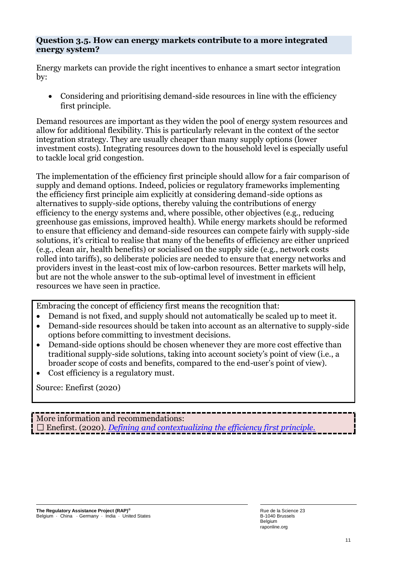#### **Question 3.5. How can energy markets contribute to a more integrated energy system?**

Energy markets can provide the right incentives to enhance a smart sector integration by:

• Considering and prioritising demand-side resources in line with the efficiency first principle.

Demand resources are important as they widen the pool of energy system resources and allow for additional flexibility. This is particularly relevant in the context of the sector integration strategy. They are usually cheaper than many supply options (lower investment costs). Integrating resources down to the household level is especially useful to tackle local grid congestion.

The implementation of the efficiency first principle should allow for a fair comparison of supply and demand options. Indeed, policies or regulatory frameworks implementing the efficiency first principle aim explicitly at considering demand-side options as alternatives to supply-side options, thereby valuing the contributions of energy efficiency to the energy systems and, where possible, other objectives (e.g., reducing greenhouse gas emissions, improved health). While energy markets should be reformed to ensure that efficiency and demand-side resources can compete fairly with supply-side solutions, it's critical to realise that many of the benefits of efficiency are either unpriced (e.g., clean air, health benefits) or socialised on the supply side (e.g., network costs rolled into tariffs), so deliberate policies are needed to ensure that energy networks and providers invest in the least-cost mix of low-carbon resources. Better markets will help, but are not the whole answer to the sub-optimal level of investment in efficient resources we have seen in practice.

Embracing the concept of efficiency first means the recognition that:

- Demand is not fixed, and supply should not automatically be scaled up to meet it.
- Demand-side resources should be taken into account as an alternative to supply-side options before committing to investment decisions.
- Demand-side options should be chosen whenever they are more cost effective than traditional supply-side solutions, taking into account society's point of view (i.e., a broader scope of costs and benefits, compared to the end-user's point of view).
- Cost efficiency is a regulatory must.

Source: Enefirst (2020)

More information and recommendations: Enefirst. (2020). *[Defining and contextualizing the efficiency first principle.](https://enefirst.eu/reports-findings/)*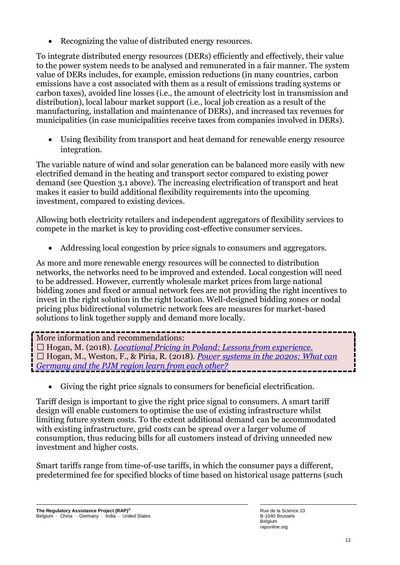• Recognizing the value of distributed energy resources.

To integrate distributed energy resources (DERs) efficiently and effectively, their value to the power system needs to be analysed and remunerated in a fair manner. The system value of DERs includes, for example, emission reductions (in many countries, carbon emissions have a cost associated with them as a result of emissions trading systems or carbon taxes), avoided line losses (i.e., the amount of electricity lost in transmission and distribution), local labour market support (i.e., local job creation as a result of the manufacturing, installation and maintenance of DERs), and increased tax revenues for municipalities (in case municipalities receive taxes from companies involved in DERs).

• Using flexibility from transport and heat demand for renewable energy resource integration.

The variable nature of wind and solar generation can be balanced more easily with new electrified demand in the heating and transport sector compared to existing power demand (see Question 3.1 above). The increasing electrification of transport and heat makes it easier to build additional flexibility requirements into the upcoming investment, compared to existing devices.

Allowing both electricity retailers and independent aggregators of flexibility services to compete in the market is key to providing cost-effective consumer services.

• Addressing local congestion by price signals to consumers and aggregators.

As more and more renewable energy resources will be connected to distribution networks, the networks need to be improved and extended. Local congestion will need to be addressed. However, currently wholesale market prices from large national bidding zones and fixed or annual network fees are not providing the right incentives to invest in the right solution in the right location. Well-designed bidding zones or nodal pricing plus bidirectional volumetric network fees are measures for market-based solutions to link together supply and demand more locally.

## More information and recommendations:

□ Hogan, M. (2018). *Locational Pricing in Poland: Lessons from experience*. Hogan, M., Weston, F., & Piria, R. (2018). *[Power systems in the 2020s: What can](https://www.raponline.org/wp-content/uploads/2018/10/rap-adelphi-pjm-germany-2018-october-final.pdf)  [Germany and the PJM region learn from each other?](https://www.raponline.org/wp-content/uploads/2018/10/rap-adelphi-pjm-germany-2018-october-final.pdf)*

• Giving the right price signals to consumers for beneficial electrification.

Tariff design is important to give the right price signal to consumers. A smart tariff design will enable customers to optimise the use of existing infrastructure whilst limiting future system costs. To the extent additional demand can be accommodated with existing infrastructure, grid costs can be spread over a larger volume of consumption, thus reducing bills for all customers instead of driving unneeded new investment and higher costs.

Smart tariffs range from time-of-use tariffs, in which the consumer pays a different, predetermined fee for specified blocks of time based on historical usage patterns (such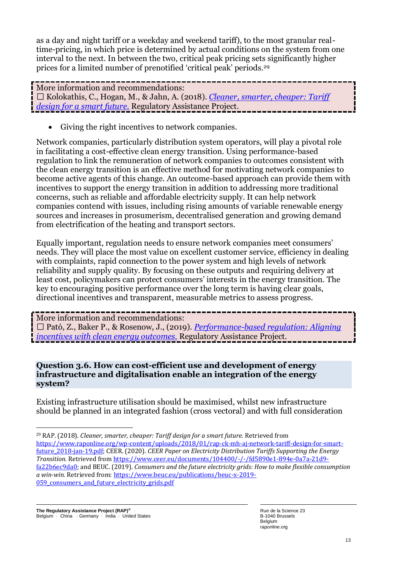as a day and night tariff or a weekday and weekend tariff), to the most granular realtime-pricing, in which price is determined by actual conditions on the system from one interval to the next. In between the two, critical peak pricing sets significantly higher prices for a limited number of prenotified 'critical peak' periods.<sup>29</sup>

More information and recommendations: Kolokathis, C., Hogan, M., & Jahn, A. (2018). *[Cleaner, smarter, cheaper: Tariff](https://www.raponline.org/wp-content/uploads/2018/01/rap-ck-mh-aj-network-tariff-design-for-smart-future_2018-jan-19.pdf)  [design for a smart future.](https://www.raponline.org/wp-content/uploads/2018/01/rap-ck-mh-aj-network-tariff-design-for-smart-future_2018-jan-19.pdf)* Regulatory Assistance Project.

• Giving the right incentives to network companies.

Network companies, particularly distribution system operators, will play a pivotal role in facilitating a cost-effective clean energy transition. Using performance-based regulation to link the remuneration of network companies to outcomes consistent with the clean energy transition is an effective method for motivating network companies to become active agents of this change. An outcome-based approach can provide them with incentives to support the energy transition in addition to addressing more traditional concerns, such as reliable and affordable electricity supply. It can help network companies contend with issues, including rising amounts of variable renewable energy sources and increases in prosumerism, decentralised generation and growing demand from electrification of the heating and transport sectors.

Equally important, regulation needs to ensure network companies meet consumers' needs. They will place the most value on excellent customer service, efficiency in dealing with complaints, rapid connection to the power system and high levels of network reliability and supply quality. By focusing on these outputs and requiring delivery at least cost, policymakers can protect consumers' interests in the energy transition. The key to encouraging positive performance over the long term is having clear goals, directional incentives and transparent, measurable metrics to assess progress.

More information and recommendations: Pató, Z., Baker P., & Rosenow, J., (2019). *[Performance-based regulation: Aligning](https://www.raponline.org/wp-content/uploads/2019/06/rap-zp-pb-jr-performance-based-regulation-2019-june2.pdf)  [incentives with clean energy outcomes.](https://www.raponline.org/wp-content/uploads/2019/06/rap-zp-pb-jr-performance-based-regulation-2019-june2.pdf)* Regulatory Assistance Project.

#### **Question 3.6. How can cost-efficient use and development of energy infrastructure and digitalisation enable an integration of the energy system?**

Existing infrastructure utilisation should be maximised, whilst new infrastructure should be planned in an integrated fashion (cross vectoral) and with full consideration

<sup>29</sup> RAP. (2018). *Cleaner, smarter, cheaper: Tariff design for a smart future.* Retrieved from [https://www.raponline.org/wp-content/uploads/2018/01/rap-ck-mh-aj-network-tariff-design-for-smart](https://www.raponline.org/wp-content/uploads/2018/01/rap-ck-mh-aj-network-tariff-design-for-smart-future_2018-jan-19.pdf)[future\\_2018-jan-19.pdf;](https://www.raponline.org/wp-content/uploads/2018/01/rap-ck-mh-aj-network-tariff-design-for-smart-future_2018-jan-19.pdf) CEER. (2020). *CEER Paper on Electricity Distribution Tariffs Supporting the Energy Transition.* Retrieved fro[m https://www.ceer.eu/documents/104400/-/-/fd5890e1-894e-0a7a-21d9](https://www.ceer.eu/documents/104400/-/-/fd5890e1-894e-0a7a-21d9-fa22b6ec9da0) [fa22b6ec9da0;](https://www.ceer.eu/documents/104400/-/-/fd5890e1-894e-0a7a-21d9-fa22b6ec9da0) and BEUC. (2019). *Consumers and the future electricity grids: How to make flexible consumption a win-win.* Retrieved from: [https://www.beuc.eu/publications/beuc-x-2019-](https://www.beuc.eu/publications/beuc-x-2019-059_consumers_and_future_electricity_grids.pdf) 059 consumers and future electricity grids.pdf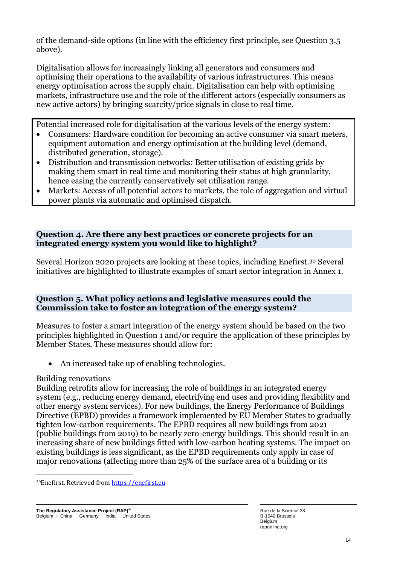of the demand-side options (in line with the efficiency first principle, see Question 3.5 above).

Digitalisation allows for increasingly linking all generators and consumers and optimising their operations to the availability of various infrastructures. This means energy optimisation across the supply chain. Digitalisation can help with optimising markets, infrastructure use and the role of the different actors (especially consumers as new active actors) by bringing scarcity/price signals in close to real time.

Potential increased role for digitalisation at the various levels of the energy system:

- Consumers: Hardware condition for becoming an active consumer via smart meters, equipment automation and energy optimisation at the building level (demand, distributed generation, storage).
- Distribution and transmission networks: Better utilisation of existing grids by making them smart in real time and monitoring their status at high granularity, hence easing the currently conservatively set utilisation range.
- Markets: Access of all potential actors to markets, the role of aggregation and virtual power plants via automatic and optimised dispatch.

#### **Question 4. Are there any best practices or concrete projects for an integrated energy system you would like to highlight?**

Several Horizon 2020 projects are looking at these topics, including Enefirst.<sup>30</sup> Several initiatives are highlighted to illustrate examples of smart sector integration in Annex 1.

#### **Question 5. What policy actions and legislative measures could the Commission take to foster an integration of the energy system?**

Measures to foster a smart integration of the energy system should be based on the two principles highlighted in Question 1 and/or require the application of these principles by Member States. These measures should allow for:

• An increased take up of enabling technologies.

## Building renovations

Building retrofits allow for increasing the role of buildings in an integrated energy system (e.g., reducing energy demand, electrifying end uses and providing flexibility and other energy system services). For new buildings, the Energy Performance of Buildings Directive (EPBD) provides a framework implemented by EU Member States to gradually tighten low-carbon requirements. The EPBD requires all new buildings from 2021 (public buildings from 2019) to be nearly zero-energy buildings. This should result in an increasing share of new buildings fitted with low-carbon heating systems. The impact on existing buildings is less significant, as the EPBD requirements only apply in case of major renovations (affecting more than 25% of the surface area of a building or its

<sup>30</sup>Enefirst. Retrieved from [https://enefirst.eu](https://enefirst.eu/)

**The Regulatory Assistance Project (RAP)®** Belgium · China · Germany · India · United States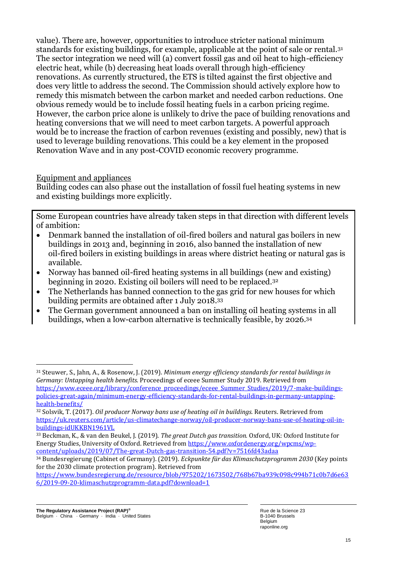value). There are, however, opportunities to introduce stricter national minimum standards for existing buildings, for example, applicable at the point of sale or rental.<sup>31</sup> The sector integration we need will (a) convert fossil gas and oil heat to high-efficiency electric heat, while (b) decreasing heat loads overall through high-efficiency renovations. As currently structured, the ETS is tilted against the first objective and does very little to address the second. The Commission should actively explore how to remedy this mismatch between the carbon market and needed carbon reductions. One obvious remedy would be to include fossil heating fuels in a carbon pricing regime. However, the carbon price alone is unlikely to drive the pace of building renovations and heating conversions that we will need to meet carbon targets. A powerful approach would be to increase the fraction of carbon revenues (existing and possibly, new) that is used to leverage building renovations. This could be a key element in the proposed Renovation Wave and in any post-COVID economic recovery programme.

#### Equipment and appliances

Building codes can also phase out the installation of fossil fuel heating systems in new and existing buildings more explicitly.

Some European countries have already taken steps in that direction with different levels of ambition:

- Denmark banned the installation of oil-fired boilers and natural gas boilers in new buildings in 2013 and, beginning in 2016, also banned the installation of new oil-fired boilers in existing buildings in areas where district heating or natural gas is available.
- Norway has banned oil-fired heating systems in all buildings (new and existing) beginning in 2020. Existing oil boilers will need to be replaced.<sup>32</sup>
- The Netherlands has banned connection to the gas grid for new houses for which building permits are obtained after 1 July 2018.<sup>33</sup>
- The German government announced a ban on installing oil heating systems in all buildings, when a low-carbon alternative is technically feasible, by 2026. 34

[https://www.bundesregierung.de/resource/blob/975202/1673502/768b67ba939c098c994b71c0b7d6e63](https://www.bundesregierung.de/resource/blob/975202/1673502/768b67ba939c098c994b71c0b7d6e636/2019-09-20-klimaschutzprogramm-data.pdf?download=1) [6/2019-09-20-klimaschutzprogramm-data.pdf?download=1](https://www.bundesregierung.de/resource/blob/975202/1673502/768b67ba939c098c994b71c0b7d6e636/2019-09-20-klimaschutzprogramm-data.pdf?download=1)

<sup>31</sup> Steuwer, S., Jahn, A., & Rosenow, J. (2019). *Minimum energy efficiency standards for rental buildings in Germany: Untapping health benefits*. Proceedings of eceee Summer Study 2019. Retrieved from [https://www.eceee.org/library/conference\\_proceedings/eceee\\_Summer\\_Studies/2019/7-make-buildings](https://www.eceee.org/library/conference_proceedings/eceee_Summer_Studies/2019/7-make-buildings-policies-great-again/minimum-energy-efficiency-standards-for-rental-buildings-in-germany-untapping-health-benefits/)[policies-great-again/minimum-energy-efficiency-standards-for-rental-buildings-in-germany-untapping](https://www.eceee.org/library/conference_proceedings/eceee_Summer_Studies/2019/7-make-buildings-policies-great-again/minimum-energy-efficiency-standards-for-rental-buildings-in-germany-untapping-health-benefits/)[health-benefits/](https://www.eceee.org/library/conference_proceedings/eceee_Summer_Studies/2019/7-make-buildings-policies-great-again/minimum-energy-efficiency-standards-for-rental-buildings-in-germany-untapping-health-benefits/)

<sup>32</sup> Solsvik, T. (2017). *Oil producer Norway bans use of heating oil in buildings.* Reuters. Retrieved from [https://uk.reuters.com/article/us-climatechange-norway/oil-producer-norway-bans-use-of-heating-oil-in](https://uk.reuters.com/article/us-climatechange-norway/oil-producer-norway-bans-use-of-heating-oil-in-buildings-idUKKBN1961VL)[buildings-idUKKBN1961VL](https://uk.reuters.com/article/us-climatechange-norway/oil-producer-norway-bans-use-of-heating-oil-in-buildings-idUKKBN1961VL)

<sup>33</sup> Beckman, K., & van den Beukel, J. (2019). *The great Dutch gas transition.* Oxford, UK: Oxford Institute for Energy Studies, University of Oxford. Retrieved from [https://www.oxfordenergy.org/wpcms/wp](https://www.oxfordenergy.org/wpcms/wp-content/uploads/2019/07/The-great-Dutch-gas-transition-54.pdf?v=7516fd43adaa)[content/uploads/2019/07/The-great-Dutch-gas-transition-54.pdf?v=7516fd43adaa](https://www.oxfordenergy.org/wpcms/wp-content/uploads/2019/07/The-great-Dutch-gas-transition-54.pdf?v=7516fd43adaa)

<sup>34</sup> Bundesregierung (Cabinet of Germany). (2019). *Eckpunkte für das Klimaschutzprogramm 2030* (Key points for the 2030 climate protection program). Retrieved from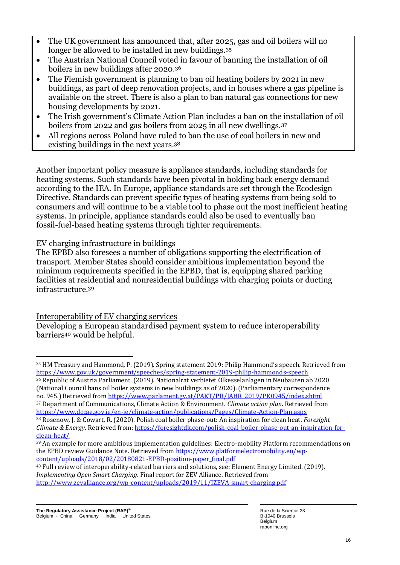- The UK government has announced that, after 2025, gas and oil boilers will no longer be allowed to be installed in new buildings.<sup>35</sup>
- The Austrian National Council voted in favour of banning the installation of oil boilers in new buildings after 2020.<sup>36</sup>
- The Flemish government is planning to ban oil heating boilers by 2021 in new buildings, as part of deep renovation projects, and in houses where a gas pipeline is available on the street. There is also a plan to ban natural gas connections for new housing developments by 2021.
- The Irish government's Climate Action Plan includes a ban on the installation of oil boilers from 2022 and gas boilers from 2025 in all new dwellings.<sup>37</sup>
- All regions across Poland have ruled to ban the use of coal boilers in new and existing buildings in the next years.<sup>38</sup>

Another important policy measure is appliance standards, including standards for heating systems. Such standards have been pivotal in holding back energy demand according to the IEA. In Europe, appliance standards are set through the Ecodesign Directive. Standards can prevent specific types of heating systems from being sold to consumers and will continue to be a viable tool to phase out the most inefficient heating systems. In principle, appliance standards could also be used to eventually ban fossil-fuel-based heating systems through tighter requirements.

## EV charging infrastructure in buildings

The EPBD also foresees a number of obligations supporting the electrification of transport. Member States should consider ambitious implementation beyond the minimum requirements specified in the EPBD, that is, equipping shared parking facilities at residential and nonresidential buildings with charging points or ducting infrastructure.<sup>39</sup>

Interoperability of EV charging services

Developing a European standardised payment system to reduce interoperability barriers<sup>40</sup> would be helpful.

<sup>36</sup> Republic of Austria Parliament. (2019). Nationalrat verbietet Ölkesselanlagen in Neubauten ab 2020 (National Council bans oil boiler systems in new buildings as of 2020). (Parliamentary correspondence no. 945.) Retrieved fro[m https://www.parlament.gv.at/PAKT/PR/JAHR\\_2019/PK0945/index.shtml](https://www.parlament.gv.at/PAKT/PR/JAHR_2019/PK0945/index.shtml)

<sup>37</sup> Department of Communications, Climate Action & Environment. *Climate action plan*. Retrieved from <https://www.dccae.gov.ie/en-ie/climate-action/publications/Pages/Climate-Action-Plan.aspx> <sup>38</sup> Rosenow, J. & Cowart, R. (2020). Polish coal boiler phase-out: An inspiration for clean heat. *Foresight*

<sup>35</sup> HM Treasury and Hammond, P. (2019). Spring statement 2019: Philip Hammond's speech. Retrieved from <https://www.gov.uk/government/speeches/spring-statement-2019-philip-hammonds-speech>

*Climate & Energy*. Retrieved from: [https://foresightdk.com/polish-coal-boiler-phase-out-an-inspiration-for](https://foresightdk.com/polish-coal-boiler-phase-out-an-inspiration-for-clean-heat/)[clean-heat/](https://foresightdk.com/polish-coal-boiler-phase-out-an-inspiration-for-clean-heat/)

<sup>39</sup> An example for more ambitious implementation guidelines: Electro-mobility Platform recommendations on the EPBD review Guidance Note. Retrieved fro[m https://www.platformelectromobility.eu/wp](https://www.platformelectromobility.eu/wp-content/uploads/2018/02/20180821-EPBD-position-paper_final.pdf)[content/uploads/2018/02/20180821-EPBD-position-paper\\_final.pdf](https://www.platformelectromobility.eu/wp-content/uploads/2018/02/20180821-EPBD-position-paper_final.pdf)

<sup>40</sup> Full review of interoperability-related barriers and solutions, see: Element Energy Limited. (2019). *Implementing Open Smart Charging*. Final report for ZEV Alliance. Retrieved from <http://www.zevalliance.org/wp-content/uploads/2019/11/IZEVA-smart-charging.pdf>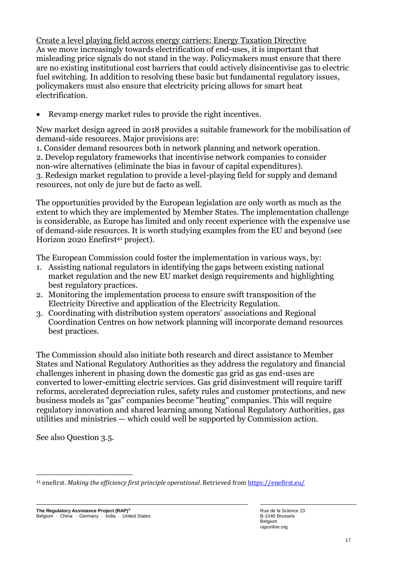Create a level playing field across energy carriers: Energy Taxation Directive As we move increasingly towards electrification of end-uses, it is important that misleading price signals do not stand in the way. Policymakers must ensure that there are no existing institutional cost barriers that could actively disincentivise gas to electric fuel switching. In addition to resolving these basic but fundamental regulatory issues, policymakers must also ensure that electricity pricing allows for smart heat electrification.

Revamp energy market rules to provide the right incentives.

New market design agreed in 2018 provides a suitable framework for the mobilisation of demand-side resources. Major provisions are:

1. Consider demand resources both in network planning and network operation. 2. Develop regulatory frameworks that incentivise network companies to consider non-wire alternatives (eliminate the bias in favour of capital expenditures). 3. Redesign market regulation to provide a level-playing field for supply and demand resources, not only de jure but de facto as well.

The opportunities provided by the European legislation are only worth as much as the extent to which they are implemented by Member States. The implementation challenge is considerable, as Europe has limited and only recent experience with the expensive use of demand-side resources. It is worth studying examples from the EU and beyond (see Horizon 2020 Enefirst<sup>41</sup> project).

The European Commission could foster the implementation in various ways, by:

- 1. Assisting national regulators in identifying the gaps between existing national market regulation and the new EU market design requirements and highlighting best regulatory practices.
- 2. Monitoring the implementation process to ensure swift transposition of the Electricity Directive and application of the Electricity Regulation.
- 3. Coordinating with distribution system operators' associations and Regional Coordination Centres on how network planning will incorporate demand resources best practices.

The Commission should also initiate both research and direct assistance to Member States and National Regulatory Authorities as they address the regulatory and financial challenges inherent in phasing down the domestic gas grid as gas end-uses are converted to lower-emitting electric services. Gas grid disinvestment will require tariff reforms, accelerated depreciation rules, safety rules and customer protections, and new business models as "gas" companies become "heating" companies. This will require regulatory innovation and shared learning among National Regulatory Authorities, gas utilities and ministries — which could well be supported by Commission action.

See also Question 3.5.

<sup>41</sup> enefirst. *Making the efficiency first principle operational*. Retrieved from<https://enefirst.eu/>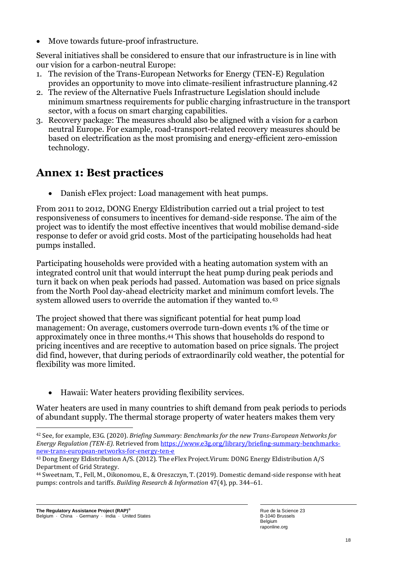• Move towards future-proof infrastructure.

Several initiatives shall be considered to ensure that our infrastructure is in line with our vision for a carbon-neutral Europe:

- 1. The revision of the Trans-European Networks for Energy (TEN-E) Regulation provides an opportunity to move into climate-resilient infrastructure planning.42
- 2. The review of the Alternative Fuels Infrastructure Legislation should include minimum smartness requirements for public charging infrastructure in the transport sector, with a focus on smart charging capabilities.
- 3. Recovery package: The measures should also be aligned with a vision for a carbon neutral Europe. For example, road-transport-related recovery measures should be based on electrification as the most promising and energy-efficient zero-emission technology.

## **Annex 1: Best practices**

• Danish eFlex project: Load management with heat pumps.

From 2011 to 2012, DONG Energy Eldistribution carried out a trial project to test responsiveness of consumers to incentives for demand-side response. The aim of the project was to identify the most effective incentives that would mobilise demand-side response to defer or avoid grid costs. Most of the participating households had heat pumps installed.

Participating households were provided with a heating automation system with an integrated control unit that would interrupt the heat pump during peak periods and turn it back on when peak periods had passed. Automation was based on price signals from the North Pool day-ahead electricity market and minimum comfort levels. The system allowed users to override the automation if they wanted to.<sup>43</sup>

The project showed that there was significant potential for heat pump load management: On average, customers overrode turn-down events 1% of the time or approximately once in three months.<sup>44</sup> This shows that households do respond to pricing incentives and are receptive to automation based on price signals. The project did find, however, that during periods of extraordinarily cold weather, the potential for flexibility was more limited.

• Hawaii: Water heaters providing flexibility services.

Water heaters are used in many countries to shift demand from peak periods to periods of abundant supply. The thermal storage property of water heaters makes them very

<sup>42</sup> See, for example, E3G. (2020). *Briefing Summary: Benchmarks for the new Trans-European Networks for Energy Regulation (TEN-E)*. Retrieved fro[m https://www.e3g.org/library/briefing-summary-benchmarks](https://www.e3g.org/library/briefing-summary-benchmarks-new-trans-european-networks-for-energy-ten-e)[new-trans-european-networks-for-energy-ten-e](https://www.e3g.org/library/briefing-summary-benchmarks-new-trans-european-networks-for-energy-ten-e)

<sup>43</sup> Dong Energy Eldistribution A/S. (2012). The eFlex Project.Virum: DONG Energy Eldistribution A/S Department of Grid Strategy.

<sup>44</sup> Sweetnam, T., Fell, M., Oikonomou, E., & Oreszczyn, T. (2019). Domestic demand-side response with heat pumps: controls and tariffs. *Building Research & Information* 47(4), pp. 344–61.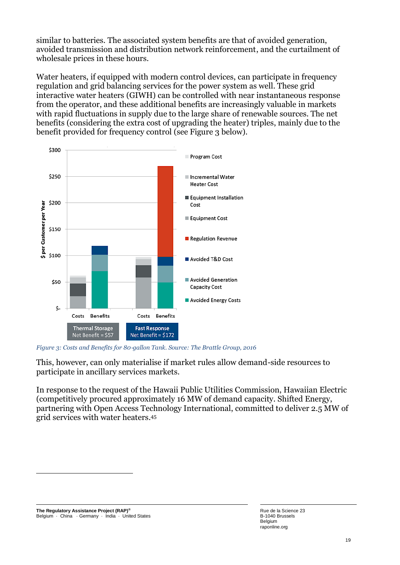similar to batteries. The associated system benefits are that of avoided generation, avoided transmission and distribution network reinforcement, and the curtailment of wholesale prices in these hours.

Water heaters, if equipped with modern control devices, can participate in frequency regulation and grid balancing services for the power system as well. These grid interactive water heaters (GIWH) can be controlled with near instantaneous response from the operator, and these additional benefits are increasingly valuable in markets with rapid fluctuations in supply due to the large share of renewable sources. The net benefits (considering the extra cost of upgrading the heater) triples, mainly due to the benefit provided for frequency control (see Figure 3 below).



*Figure 3: Costs and Benefits for 80*‐*gallon Tank. Source: The Brattle Group, 2016* 

This, however, can only materialise if market rules allow demand-side resources to participate in ancillary services markets.

In response to the request of the Hawaii Public Utilities Commission, Hawaiian Electric (competitively procured approximately 16 MW of demand capacity. Shifted Energy, partnering with Open Access Technology International, committed to deliver 2.5 MW of grid services with water heaters.<sup>45</sup>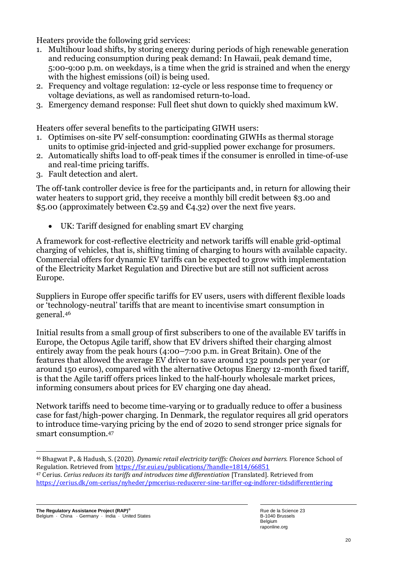Heaters provide the following grid services:

- 1. Multihour load shifts, by storing energy during periods of high renewable generation and reducing consumption during peak demand: In Hawaii, peak demand time, 5:00-9:00 p.m. on weekdays, is a time when the grid is strained and when the energy with the highest emissions (oil) is being used.
- 2. Frequency and voltage regulation: 12-cycle or less response time to frequency or voltage deviations, as well as randomised return-to-load.
- 3. Emergency demand response: Full fleet shut down to quickly shed maximum kW.

Heaters offer several benefits to the participating GIWH users:

- 1. Optimises on-site PV self-consumption: coordinating GIWHs as thermal storage units to optimise grid-injected and grid-supplied power exchange for prosumers.
- 2. Automatically shifts load to off-peak times if the consumer is enrolled in time-of-use and real-time pricing tariffs.
- 3. Fault detection and alert.

The off-tank controller device is free for the participants and, in return for allowing their water heaters to support grid, they receive a monthly bill credit between \$3.00 and \$5.00 (approximately between  $\epsilon$ 2.59 and  $\epsilon$ 4.32) over the next five years.

UK: Tariff designed for enabling smart EV charging

A framework for cost-reflective electricity and network tariffs will enable grid-optimal charging of vehicles, that is, shifting timing of charging to hours with available capacity. Commercial offers for dynamic EV tariffs can be expected to grow with implementation of the Electricity Market Regulation and Directive but are still not sufficient across Europe.

Suppliers in Europe offer specific tariffs for EV users, users with different flexible loads or 'technology-neutral' tariffs that are meant to incentivise smart consumption in general.<sup>46</sup>

Initial results from a small group of first subscribers to one of the available EV tariffs in Europe, the Octopus Agile tariff, show that EV drivers shifted their charging almost entirely away from the peak hours (4:00–7:00 p.m. in Great Britain). One of the features that allowed the average EV driver to save around 132 pounds per year (or around 150 euros), compared with the alternative Octopus Energy 12-month fixed tariff, is that the Agile tariff offers prices linked to the half-hourly wholesale market prices, informing consumers about prices for EV charging one day ahead.

Network tariffs need to become time-varying or to gradually reduce to offer a business case for fast/high-power charging. In Denmark, the regulator requires all grid operators to introduce time-varying pricing by the end of 2020 to send stronger price signals for smart consumption.<sup>47</sup>

<sup>46</sup> Bhagwat P., & Hadush, S. (2020). *Dynamic retail electricity tariffs: Choices and barriers.* Florence School of Regulation. Retrieved fro[m https://fsr.eui.eu/publications/?handle=1814/66851](https://fsr.eui.eu/publications/?handle=1814/66851)

<sup>47</sup> Cerius. *Cerius reduces its tariffs and introduces time differentiation* [Translated]. Retrieved from <https://cerius.dk/om-cerius/nyheder/pmcerius-reducerer-sine-tariffer-og-indforer-tidsdifferentiering>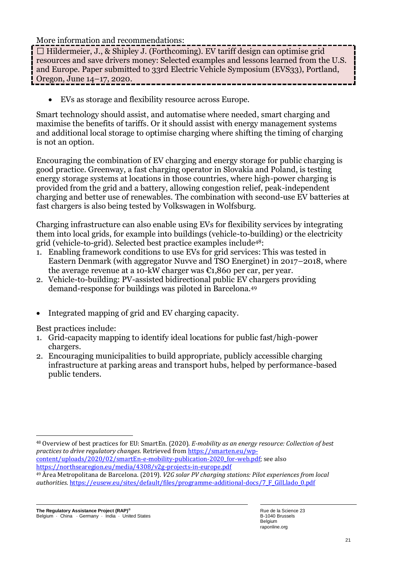More information and recommendations:

 $\Box$  Hildermeier, J., & Shipley J. (Forthcoming). EV tariff design can optimise grid resources and save drivers money: Selected examples and lessons learned from the U.S. and Europe. Paper submitted to 33rd Electric Vehicle Symposium (EVS33), Portland, Oregon, June 14–17, 2020.

• EVs as storage and flexibility resource across Europe.

Smart technology should assist, and automatise where needed, smart charging and maximise the benefits of tariffs. Or it should assist with energy management systems and additional local storage to optimise charging where shifting the timing of charging is not an option.

Encouraging the combination of EV charging and energy storage for public charging is good practice. Greenway, a fast charging operator in Slovakia and Poland, is testing energy storage systems at locations in those countries, where high-power charging is provided from the grid and a battery, allowing congestion relief, peak-independent charging and better use of renewables. The combination with second-use EV batteries at fast chargers is also being tested by Volkswagen in Wolfsburg.

Charging infrastructure can also enable using EVs for flexibility services by integrating them into local grids, for example into buildings (vehicle-to-building) or the electricity grid (vehicle-to-grid). Selected best practice examples include48:

- 1. Enabling framework conditions to use EVs for grid services: This was tested in Eastern Denmark (with aggregator Nuvve and TSO Energinet) in 2017–2018, where the average revenue at a 10-kW charger was  $\epsilon$ 1,860 per car, per year.
- 2. Vehicle-to-building: PV-assisted bidirectional public EV chargers providing demand-response for buildings was piloted in Barcelona.<sup>49</sup>
- Integrated mapping of grid and EV charging capacity.

Best practices include:

- 1. Grid-capacity mapping to identify ideal locations for public fast/high-power chargers.
- 2. Encouraging municipalities to build appropriate, publicly accessible charging infrastructure at parking areas and transport hubs, helped by performance-based public tenders.

<sup>48</sup> Overview of best practices for EU: SmartEn. (2020). *E-mobility as an energy resource: Collection of best practices to drive regulatory changes*. Retrieved fro[m https://smarten.eu/wp](https://smarten.eu/wp-content/uploads/2020/02/smartEn-e-mobility-publication-2020_for-web.pdf)content/uploads/2020/02/smartEn-e-mobility-publication-2020 for-web.pdf; see also <https://northsearegion.eu/media/4308/v2g-projects-in-europe.pdf> <sup>49</sup> Àrea Metropolitana de Barcelona. (2019). *V2G solar PV charging stations: Pilot experiences from local* 

*authorities*. [https://eusew.eu/sites/default/files/programme-additional-docs/7\\_F\\_GilLlado\\_0.pdf](https://eusew.eu/sites/default/files/programme-additional-docs/7_F_GilLlado_0.pdf)